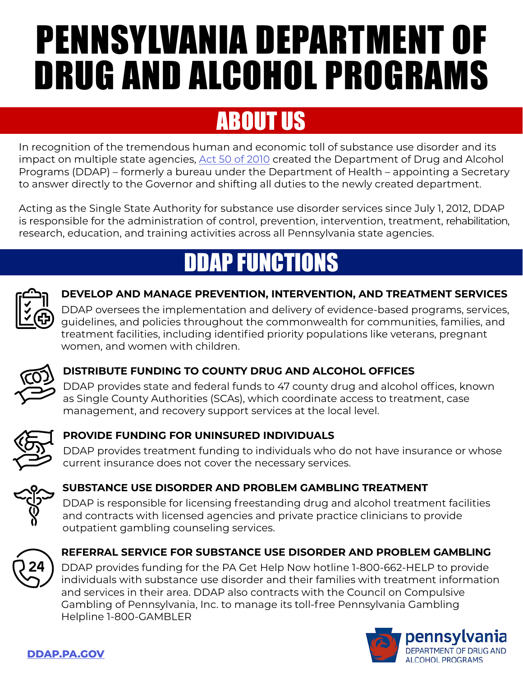# PENNSYLVANIA DEPARTMENT OF DRUG AND ALCOHOL PROGRAMS

### ABOUT US

In recognition of the tremendous human and economic toll of substance use disorder and its impact on multiple state agencies, [Act 50 of 2010](https://www.legis.state.pa.us/cfdocs/legis/li/uconsCheck.cfm?yr=2010&sessInd=0&act=50) created the Department of Drug and Alcohol Programs (DDAP) – formerly a bureau under the Department of Health – appointing a Secretary to answer directly to the Governor and shifting all duties to the newly created department.

Acting as the Single State Authority for substance use disorder services since July 1, 2012, DDAP is responsible for the administration of control, prevention, intervention, treatment, rehabilitation, research, education, and training activities across all Pennsylvania state agencies.

## DDAP FUNCTIONS



### **DEVELOP AND MANAGE PREVENTION, INTERVENTION, AND TREATMENT SERVICES**

DDAP oversees the implementation and delivery of evidence-based programs, services, guidelines, and policies throughout the commonwealth for communities, families, and treatment facilities, including identified priority populations like veterans, pregnant women, and women with children.



### **DISTRIBUTE FUNDING TO COUNTY DRUG AND ALCOHOL OFFICES**

DDAP provides state and federal funds to 47 county drug and alcohol offices, known as Single County Authorities (SCAs), which coordinate access to treatment, case management, and recovery support services at the local level.



### **PROVIDE FUNDING FOR UNINSURED INDIVIDUALS**

DDAP provides treatment funding to individuals who do not have insurance or whose current insurance does not cover the necessary services.



### **SUBSTANCE USE DISORDER AND PROBLEM GAMBLING TREATMENT**

DDAP is responsible for licensing freestanding drug and alcohol treatment facilities and contracts with licensed agencies and private practice clinicians to provide outpatient gambling counseling services.



### **REFERRAL SERVICE FOR SUBSTANCE USE DISORDER AND PROBLEM GAMBLING**

DDAP provides funding for the PA Get Help Now hotline 1-800-662-HELP to provide individuals with substance use disorder and their families with treatment information and services in their area. DDAP also contracts with the Council on Compulsive Gambling of Pennsylvania, Inc. to manage its toll-free Pennsylvania Gambling Helpline 1-800-GAMBLER